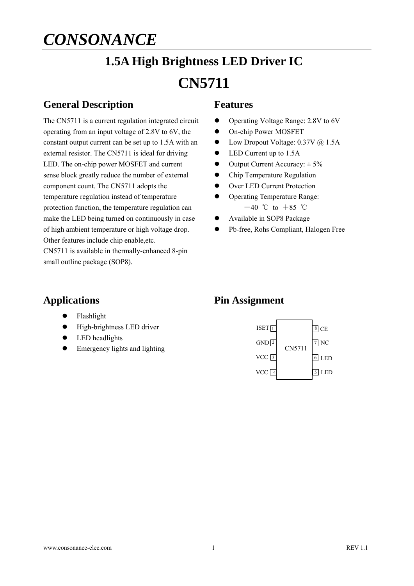# **1.5A High Brightness LED Driver IC CN5711**

### **General Description**

The CN5711 is a current regulation integrated circuit operating from an input voltage of 2.8V to 6V, the constant output current can be set up to 1.5A with an external resistor. The CN5711 is ideal for driving LED. The on-chip power MOSFET and current sense block greatly reduce the number of external component count. The CN5711 adopts the temperature regulation instead of temperature protection function, the temperature regulation can make the LED being turned on continuously in case of high ambient temperature or high voltage drop. Other features include chip enable,etc.

CN5711 is available in thermally-enhanced 8-pin small outline package (SOP8).

#### **Features**

- Operating Voltage Range: 2.8V to 6V
- $\bullet$  On-chip Power MOSFET
- Low Dropout Voltage: 0.37V @ 1.5A
- LED Current up to 1.5A
- $\bullet$  Output Current Accuracy:  $\pm 5\%$
- Chip Temperature Regulation
- Over LED Current Protection
- Operating Temperature Range:
	- $-40$  °C to  $+85$  °C
- Available in SOP8 Package
- Pb-free, Rohs Compliant, Halogen Free

#### **Applications**

- Flashlight
- $\bullet$  High-brightness LED driver
- LED headlights
- Emergency lights and lighting

#### **Pin Assignment**

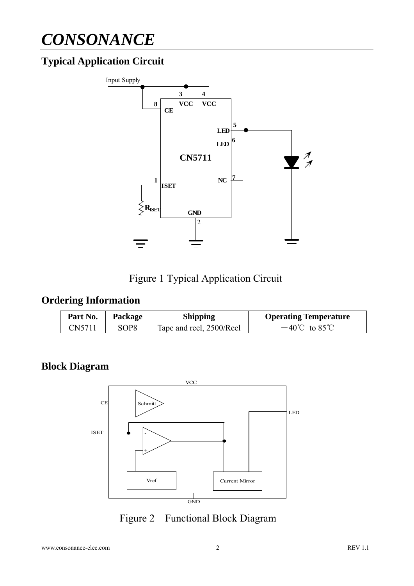## **Typical Application Circuit**



Figure 1 Typical Application Circuit

### **Ordering Information**

| Part No. | Package          | <b>Shipping</b>          | <b>Operating Temperature</b> |
|----------|------------------|--------------------------|------------------------------|
| CN5711   | SOP <sub>8</sub> | Tape and reel, 2500/Reel | $-40^{\circ}$ C to 85 °C     |

### **Block Diagram**



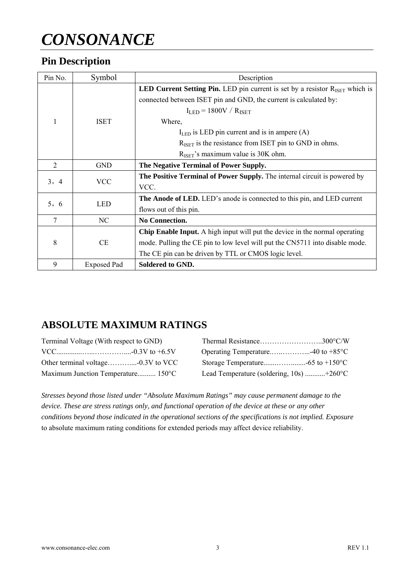### **Pin Description**

| Pin No. | Symbol             | Description                                                                                     |  |  |
|---------|--------------------|-------------------------------------------------------------------------------------------------|--|--|
|         | <b>ISET</b>        | <b>LED Current Setting Pin.</b> LED pin current is set by a resistor $R_{\text{ISET}}$ which is |  |  |
|         |                    | connected between ISET pin and GND, the current is calculated by:                               |  |  |
|         |                    | $I_{LED} = 1800V / R_{ISET}$                                                                    |  |  |
|         |                    | Where,                                                                                          |  |  |
|         |                    | $I_{LED}$ is LED pin current and is in ampere (A)                                               |  |  |
|         |                    | $R_{\text{ISET}}$ is the resistance from ISET pin to GND in ohms.                               |  |  |
|         |                    | $R_{\text{ISET}}$ 's maximum value is 30K ohm.                                                  |  |  |
| 2       | <b>GND</b>         | The Negative Terminal of Power Supply.                                                          |  |  |
| 3, 4    | <b>VCC</b>         | The Positive Terminal of Power Supply. The internal circuit is powered by                       |  |  |
|         |                    | VCC.                                                                                            |  |  |
| 5, 6    | <b>LED</b>         | <b>The Anode of LED.</b> LED's anode is connected to this pin, and LED current                  |  |  |
|         |                    | flows out of this pin.                                                                          |  |  |
| $\tau$  | NC                 | No Connection.                                                                                  |  |  |
| 8       | CE                 | <b>Chip Enable Input.</b> A high input will put the device in the normal operating              |  |  |
|         |                    | mode. Pulling the CE pin to low level will put the CN5711 into disable mode.                    |  |  |
|         |                    | The CE pin can be driven by TTL or CMOS logic level.                                            |  |  |
| 9       | <b>Exposed Pad</b> | Soldered to GND.                                                                                |  |  |

### **ABSOLUTE MAXIMUM RATINGS**

| Terminal Voltage (With respect to GND) |                                                        |
|----------------------------------------|--------------------------------------------------------|
|                                        |                                                        |
|                                        |                                                        |
| Maximum Junction Temperature 150°C     | Lead Temperature (soldering, $10s$ ) +260 $^{\circ}$ C |

*Stresses beyond those listed under "Absolute Maximum Ratings" may cause permanent damage to the device. These are stress ratings only, and functional operation of the device at these or any other conditions beyond those indicated in the operational sections of the specifications is not implied. Exposure*  to absolute maximum rating conditions for extended periods may affect device reliability.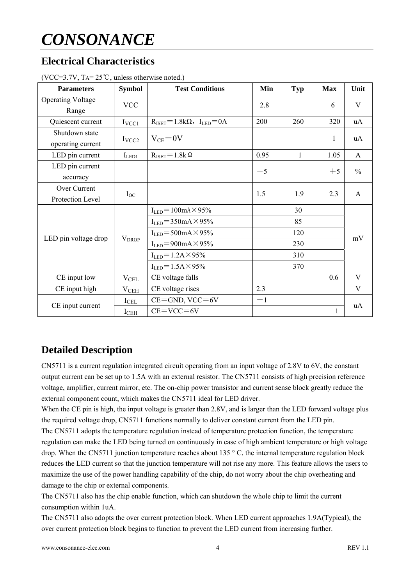### **Electrical Characteristics**

| <b>Parameters</b>                   | <b>Symbol</b>     | <b>Test Conditions</b>                                  | Min  | <b>Typ</b>      | <b>Max</b>   | Unit          |  |
|-------------------------------------|-------------------|---------------------------------------------------------|------|-----------------|--------------|---------------|--|
| <b>Operating Voltage</b><br>Range   | <b>VCC</b>        |                                                         | 2.8  |                 | 6            | V             |  |
| Quiescent current                   | $I_{VCC1}$        | $R_{\text{ISET}} = 1.8 k\Omega$ , $I_{\text{LED}} = 0A$ | 200  | 260             | 320          | uA            |  |
| Shutdown state<br>operating current | I <sub>VCC2</sub> | $V_{CE} = 0V$                                           |      |                 | $\mathbf{1}$ | uA            |  |
| LED pin current                     | $I_{LED1}$        | $R_{\text{ISET}} = 1.8k \Omega$                         | 0.95 | 1               | 1.05         | $\mathbf{A}$  |  |
| LED pin current<br>accuracy         |                   |                                                         | $-5$ |                 | $+5$         | $\frac{0}{0}$ |  |
| Over Current<br>Protection Level    | $I_{OC}$          |                                                         | 1.5  | 1.9             | 2.3          | A             |  |
|                                     | $V_{DROP}$        | $I_{LED} = 100$ mA $\times$ 95%                         |      | 30<br>85<br>120 |              | mV            |  |
|                                     |                   | $ILED=350mA \times 95\%$                                |      |                 |              |               |  |
| LED pin voltage drop                |                   | $ILED=500mA \times 95\%$                                |      |                 |              |               |  |
|                                     |                   | $I_{LED} = 900 \text{mA} \times 95\%$                   |      | 230             |              |               |  |
|                                     |                   | $I_{LED} = 1.2A \times 95\%$                            |      | 310             |              |               |  |
|                                     |                   | $I_{LED} = 1.5A \times 95\%$                            | 370  |                 |              |               |  |
| CE input low                        | $V_{\rm CEL}$     | CE voltage falls                                        |      |                 | 0.6          | V             |  |
| CE input high                       | V <sub>CEH</sub>  | CE voltage rises                                        | 2.3  |                 |              | V             |  |
| CE input current                    | $I_{\text{CEL}}$  | $CE =$ GND, VCC $=$ 6V                                  | $-1$ |                 |              | uA            |  |
|                                     | $I_{\rm CEH}$     | $CE=VCC=6V$                                             |      |                 | 1            |               |  |

(VCC=3.7V, TA= 25℃, unless otherwise noted.)

### **Detailed Description**

CN5711 is a current regulation integrated circuit operating from an input voltage of 2.8V to 6V, the constant output current can be set up to 1.5A with an external resistor. The CN5711 consists of high precision reference voltage, amplifier, current mirror, etc. The on-chip power transistor and current sense block greatly reduce the external component count, which makes the CN5711 ideal for LED driver.

When the CE pin is high, the input voltage is greater than 2.8V, and is larger than the LED forward voltage plus the required voltage drop, CN5711 functions normally to deliver constant current from the LED pin.

The CN5711 adopts the temperature regulation instead of temperature protection function, the temperature regulation can make the LED being turned on continuously in case of high ambient temperature or high voltage drop. When the CN5711 junction temperature reaches about 135 ° C, the internal temperature regulation block reduces the LED current so that the junction temperature will not rise any more. This feature allows the users to maximize the use of the power handling capability of the chip, do not worry about the chip overheating and damage to the chip or external components.

The CN5711 also has the chip enable function, which can shutdown the whole chip to limit the current consumption within 1uA.

The CN5711 also adopts the over current protection block. When LED current approaches 1.9A(Typical), the over current protection block begins to function to prevent the LED current from increasing further.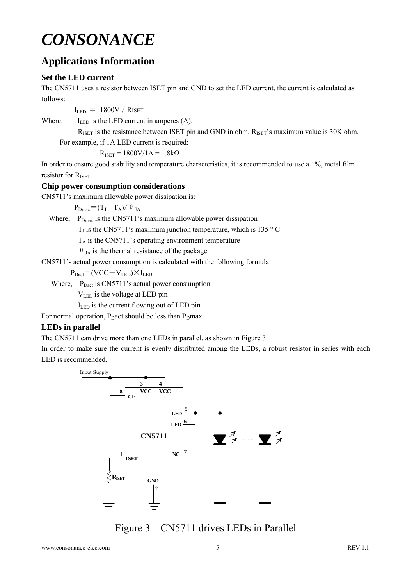### **Applications Information**

#### **Set the LED current**

The CN5711 uses a resistor between ISET pin and GND to set the LED current, the current is calculated as follows:

 $I_{LED} = 1800V / R$ ISET

Where:  $I_{LED}$  is the LED current in amperes (A);

 $R_{\text{ISET}}$  is the resistance between ISET pin and GND in ohm,  $R_{\text{ISET}}$ 's maximum value is 30K ohm. For example, if 1A LED current is required:

 $R_{ISET} = 1800V/1A = 1.8k\Omega$ 

In order to ensure good stability and temperature characteristics, it is recommended to use a 1%, metal film resistor for R<sub>ISET</sub>.

#### **Chip power consumption considerations**

CN5711's maximum allowable power dissipation is:

 $P_{Dmax}=(T_J-T_A)/\theta_{JA}$ 

Where,  $P_{Dmax}$  is the CN5711's maximum allowable power dissipation

 $T_J$  is the CN5711's maximum junction temperature, which is 135 ° C

 $T_A$  is the CN5711's operating environment temperature

 $\theta$ <sub>JA</sub> is the thermal resistance of the package

CN5711's actual power consumption is calculated with the following formula:

 $P_{\text{Dact}} = (VCC-V_{\text{LED}}) \times I_{\text{LED}}$ 

Where,  $P_{\text{Dact}}$  is CN5711's actual power consumption

VLED is the voltage at LED pin

 $I_{LED}$  is the current flowing out of LED pin

For normal operation, P<sub>D</sub>act should be less than P<sub>D</sub>max.

#### **LEDs in parallel**

The CN5711 can drive more than one LEDs in parallel, as shown in Figure 3.

In order to make sure the current is evenly distributed among the LEDs, a robust resistor in series with each LED is recommended.



Figure 3 CN5711 drives LEDs in Parallel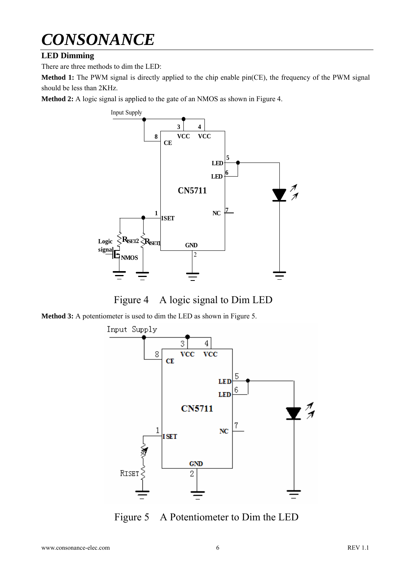#### **LED Dimming**

There are three methods to dim the LED:

**Method 1:** The PWM signal is directly applied to the chip enable pin(CE), the frequency of the PWM signal should be less than 2KHz.

**Method 2:** A logic signal is applied to the gate of an NMOS as shown in Figure 4.



Figure 4 A logic signal to Dim LED

**Method 3:** A potentiometer is used to dim the LED as shown in Figure 5.



Figure 5 A Potentiometer to Dim the LED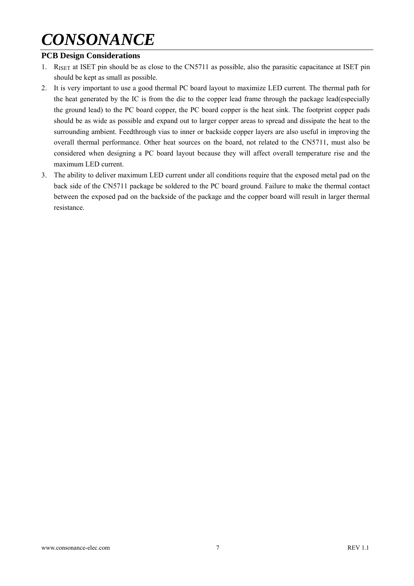#### **PCB Design Considerations**

- 1. RISET at ISET pin should be as close to the CN5711 as possible, also the parasitic capacitance at ISET pin should be kept as small as possible.
- 2. It is very important to use a good thermal PC board layout to maximize LED current. The thermal path for the heat generated by the IC is from the die to the copper lead frame through the package lead(especially the ground lead) to the PC board copper, the PC board copper is the heat sink. The footprint copper pads should be as wide as possible and expand out to larger copper areas to spread and dissipate the heat to the surrounding ambient. Feedthrough vias to inner or backside copper layers are also useful in improving the overall thermal performance. Other heat sources on the board, not related to the CN5711, must also be considered when designing a PC board layout because they will affect overall temperature rise and the maximum LED current.
- 3. The ability to deliver maximum LED current under all conditions require that the exposed metal pad on the back side of the CN5711 package be soldered to the PC board ground. Failure to make the thermal contact between the exposed pad on the backside of the package and the copper board will result in larger thermal resistance.